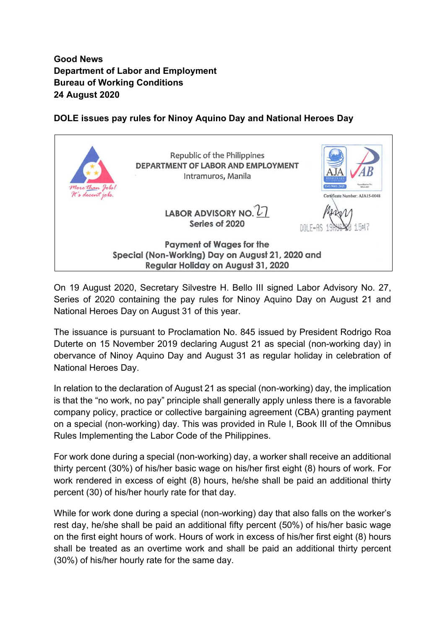## Good News Department of Labor and Employment Bureau of Working Conditions 24 August 2020

DOLE issues pay rules for Ninoy Aquino Day and National Heroes Day



On 19 August 2020, Secretary Silvestre H. Bello III signed Labor Advisory No. 27, Series of 2020 containing the pay rules for Ninoy Aquino Day on August 21 and National Heroes Day on August 31 of this year.

The issuance is pursuant to Proclamation No. 845 issued by President Rodrigo Roa Duterte on 15 November 2019 declaring August 21 as special (non-working day) in obervance of Ninoy Aquino Day and August 31 as regular holiday in celebration of National Heroes Day.

In relation to the declaration of August 21 as special (non-working) day, the implication is that the "no work, no pay" principle shall generally apply unless there is a favorable company policy, practice or collective bargaining agreement (CBA) granting payment on a special (non-working) day. This was provided in Rule I, Book III of the Omnibus Rules Implementing the Labor Code of the Philippines.

For work done during a special (non-working) day, a worker shall receive an additional thirty percent (30%) of his/her basic wage on his/her first eight (8) hours of work. For work rendered in excess of eight (8) hours, he/she shall be paid an additional thirty percent (30) of his/her hourly rate for that day.

While for work done during a special (non-working) day that also falls on the worker's rest day, he/she shall be paid an additional fifty percent (50%) of his/her basic wage on the first eight hours of work. Hours of work in excess of his/her first eight (8) hours shall be treated as an overtime work and shall be paid an additional thirty percent (30%) of his/her hourly rate for the same day.